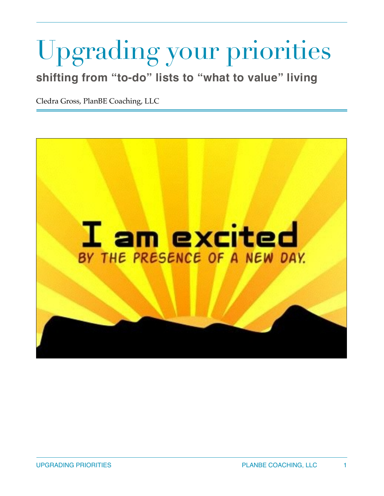# Upgrading your priorities

**shifting from "to-do" lists to "what to value" living**

Cledra Gross, PlanBE Coaching, LLC

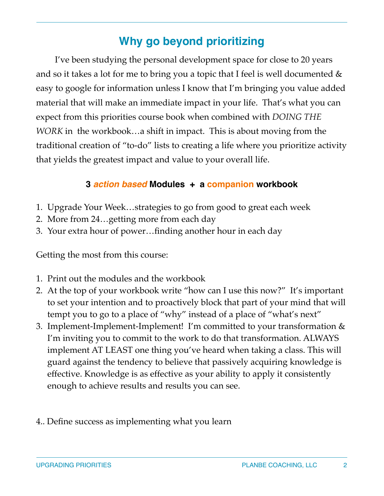# **Why go beyond prioritizing**

I've been studying the personal development space for close to 20 years and so it takes a lot for me to bring you a topic that I feel is well documented  $\&$ easy to google for information unless I know that I'm bringing you value added material that will make an immediate impact in your life. That's what you can expect from this priorities course book when combined with *DOING THE WORK* in the workbook…a shift in impact. This is about moving from the traditional creation of "to-do" lists to creating a life where you prioritize activity that yields the greatest impact and value to your overall life.

## **3** *action based* **Modules + a companion workbook**

- 1. Upgrade Your Week…strategies to go from good to great each week
- 2. More from 24…getting more from each day
- 3. Your extra hour of power…finding another hour in each day

Getting the most from this course:

- 1. Print out the modules and the workbook
- 2. At the top of your workbook write "how can I use this now?" It's important to set your intention and to proactively block that part of your mind that will tempt you to go to a place of "why" instead of a place of "what's next"
- 3. Implement-Implement-Implement! I'm committed to your transformation & I'm inviting you to commit to the work to do that transformation. ALWAYS implement AT LEAST one thing you've heard when taking a class. This will guard against the tendency to believe that passively acquiring knowledge is effective. Knowledge is as effective as your ability to apply it consistently enough to achieve results and results you can see.
- 4.. Define success as implementing what you learn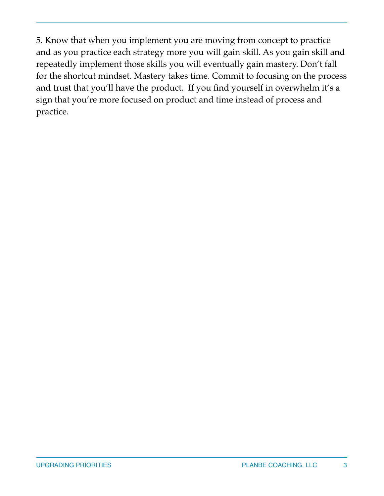5. Know that when you implement you are moving from concept to practice and as you practice each strategy more you will gain skill. As you gain skill and repeatedly implement those skills you will eventually gain mastery. Don't fall for the shortcut mindset. Mastery takes time. Commit to focusing on the process and trust that you'll have the product. If you find yourself in overwhelm it's a sign that you're more focused on product and time instead of process and practice.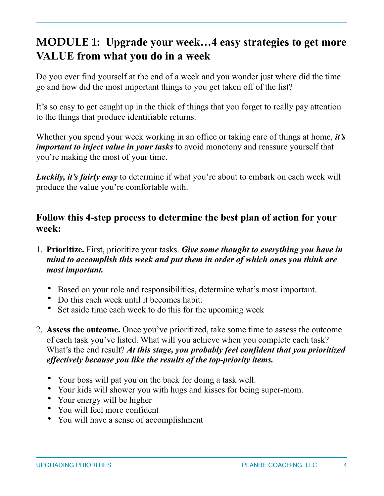# **MODULE 1: Upgrade your week…4 easy strategies to get more VALUE from what you do in a week**

Do you ever find yourself at the end of a week and you wonder just where did the time go and how did the most important things to you get taken off of the list?

It's so easy to get caught up in the thick of things that you forget to really pay attention to the things that produce identifiable returns.

Whether you spend your week working in an office or taking care of things at home, *it's important to inject value in your tasks* to avoid monotony and reassure yourself that you're making the most of your time.

*Luckily, it's fairly easy* to determine if what you're about to embark on each week will produce the value you're comfortable with.

## **Follow this 4-step process to determine the best plan of action for your week:**

- 1. **Prioritize.** First, prioritize your tasks. *Give some thought to everything you have in mind to accomplish this week and put them in order of which ones you think are most important.*
	- Based on your role and responsibilities, determine what's most important.
	- Do this each week until it becomes habit.
	- Set aside time each week to do this for the upcoming week
- 2. **Assess the outcome.** Once you've prioritized, take some time to assess the outcome of each task you've listed. What will you achieve when you complete each task? What's the end result? *At this stage, you probably feel confident that you prioritized effectively because you like the results of the top-priority items.*
	- Your boss will pat you on the back for doing a task well.
	- Your kids will shower you with hugs and kisses for being super-mom.
	- Your energy will be higher
	- You will feel more confident
	- You will have a sense of accomplishment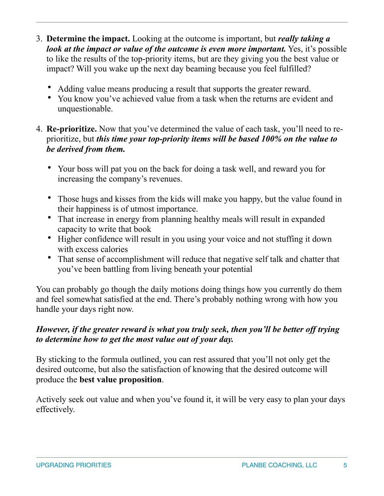- 3. **Determine the impact.** Looking at the outcome is important, but *really taking a look at the impact or value of the outcome is even more important.* Yes, it's possible to like the results of the top-priority items, but are they giving you the best value or impact? Will you wake up the next day beaming because you feel fulfilled?
	- Adding value means producing a result that supports the greater reward.
	- You know you've achieved value from a task when the returns are evident and unquestionable.
- 4. **Re-prioritize.** Now that you've determined the value of each task, you'll need to reprioritize, but *this time your top-priority items will be based 100% on the value to be derived from them.*
	- Your boss will pat you on the back for doing a task well, and reward you for increasing the company's revenues.
	- Those hugs and kisses from the kids will make you happy, but the value found in their happiness is of utmost importance.
	- That increase in energy from planning healthy meals will result in expanded capacity to write that book
	- Higher confidence will result in you using your voice and not stuffing it down with excess calories
	- That sense of accomplishment will reduce that negative self talk and chatter that you've been battling from living beneath your potential

You can probably go though the daily motions doing things how you currently do them and feel somewhat satisfied at the end. There's probably nothing wrong with how you handle your days right now.

## *However, if the greater reward is what you truly seek, then you'll be better off trying to determine how to get the most value out of your day.*

By sticking to the formula outlined, you can rest assured that you'll not only get the desired outcome, but also the satisfaction of knowing that the desired outcome will produce the **best value proposition**.

Actively seek out value and when you've found it, it will be very easy to plan your days effectively.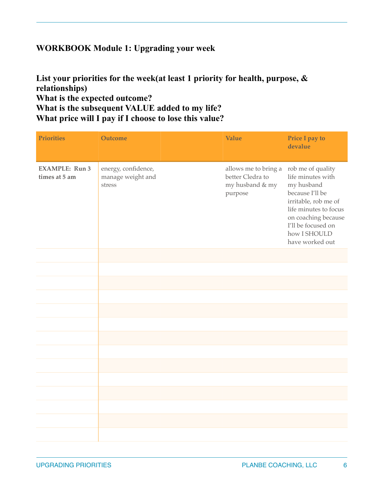#### **WORKBOOK Module 1: Upgrading your week**

#### **List your priorities for the week(at least 1 priority for health, purpose, & relationships) What is the expected outcome? What is the subsequent VALUE added to my life? What price will I pay if I choose to lose this value?**

| <b>Priorities</b>                      | <b>Outcome</b>                                     | Value                                                                  | Price I pay to<br>devalue                                                                                                                                                                                |
|----------------------------------------|----------------------------------------------------|------------------------------------------------------------------------|----------------------------------------------------------------------------------------------------------------------------------------------------------------------------------------------------------|
| <b>EXAMPLE: Run 3</b><br>times at 5 am | energy, confidence,<br>manage weight and<br>stress | allows me to bring a<br>better Cledra to<br>my husband & my<br>purpose | rob me of quality<br>life minutes with<br>my husband<br>because I'll be<br>irritable, rob me of<br>life minutes to focus<br>on coaching because<br>I'll be focused on<br>how I SHOULD<br>have worked out |
|                                        |                                                    |                                                                        |                                                                                                                                                                                                          |
|                                        |                                                    |                                                                        |                                                                                                                                                                                                          |
|                                        |                                                    |                                                                        |                                                                                                                                                                                                          |
|                                        |                                                    |                                                                        |                                                                                                                                                                                                          |
|                                        |                                                    |                                                                        |                                                                                                                                                                                                          |
|                                        |                                                    |                                                                        |                                                                                                                                                                                                          |
|                                        |                                                    |                                                                        |                                                                                                                                                                                                          |
|                                        |                                                    |                                                                        |                                                                                                                                                                                                          |
|                                        |                                                    |                                                                        |                                                                                                                                                                                                          |
|                                        |                                                    |                                                                        |                                                                                                                                                                                                          |
|                                        |                                                    |                                                                        |                                                                                                                                                                                                          |
|                                        |                                                    |                                                                        |                                                                                                                                                                                                          |
|                                        |                                                    |                                                                        |                                                                                                                                                                                                          |
|                                        |                                                    |                                                                        |                                                                                                                                                                                                          |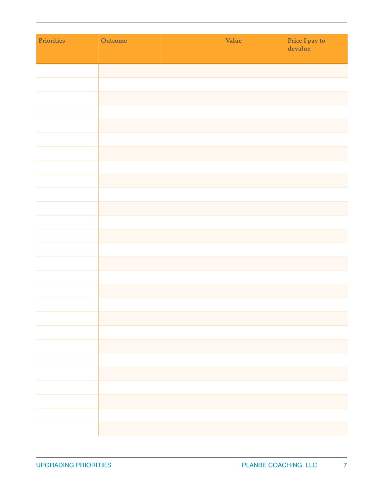| Priorities | Outcome | Value | Price I pay to<br>devalue |
|------------|---------|-------|---------------------------|
|            |         |       |                           |
|            |         |       |                           |
|            |         |       |                           |
|            |         |       |                           |
|            |         |       |                           |
|            |         |       |                           |
|            |         |       |                           |
|            |         |       |                           |
|            |         |       |                           |
|            |         |       |                           |
|            |         |       |                           |
|            |         |       |                           |
|            |         |       |                           |
|            |         |       |                           |
|            |         |       |                           |
|            |         |       |                           |
|            |         |       |                           |
|            |         |       |                           |
|            |         |       |                           |
|            |         |       |                           |
|            |         |       |                           |
|            |         |       |                           |
|            |         |       |                           |
|            |         |       |                           |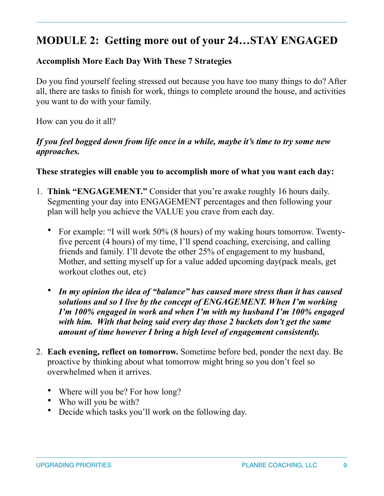# **MODULE 2: Getting more out of your 24…STAY ENGAGED**

## **Accomplish More Each Day With These 7 Strategies**

Do you find yourself feeling stressed out because you have too many things to do? After all, there are tasks to finish for work, things to complete around the house, and activities you want to do with your family.

How can you do it all?

#### *If you feel bogged down from life once in a while, maybe it's time to try some new approaches.*

#### **These strategies will enable you to accomplish more of what you want each day:**

- 1. **Think "ENGAGEMENT."** Consider that you're awake roughly 16 hours daily. Segmenting your day into ENGAGEMENT percentages and then following your plan will help you achieve the VALUE you crave from each day.
	- For example: "I will work 50% (8 hours) of my waking hours tomorrow. Twentyfive percent (4 hours) of my time, I'll spend coaching, exercising, and calling friends and family. I'll devote the other 25% of engagement to my husband, Mother, and setting myself up for a value added upcoming day(pack meals, get workout clothes out, etc)
	- *In my opinion the idea of "balance" has caused more stress than it has caused solutions and so I live by the concept of ENGAGEMENT. When I'm working I'm 100% engaged in work and when I'm with my husband I'm 100% engaged with him. With that being said every day those 2 buckets don't get the same amount of time however I bring a high level of engagement consistently.*
- 2. **Each evening, reflect on tomorrow.** Sometime before bed, ponder the next day. Be proactive by thinking about what tomorrow might bring so you don't feel so overwhelmed when it arrives.
	- Where will you be? For how long?
	- Who will you be with?
	- Decide which tasks you'll work on the following day.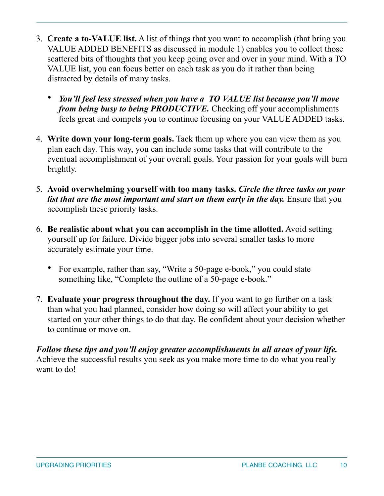- 3. **Create a to-VALUE list.** A list of things that you want to accomplish (that bring you VALUE ADDED BENEFITS as discussed in module 1) enables you to collect those scattered bits of thoughts that you keep going over and over in your mind. With a TO VALUE list, you can focus better on each task as you do it rather than being distracted by details of many tasks.
	- *You'll feel less stressed when you have a TO VALUE list because you'll move from being busy to being PRODUCTIVE.* Checking off your accomplishments feels great and compels you to continue focusing on your VALUE ADDED tasks.
- 4. **Write down your long-term goals.** Tack them up where you can view them as you plan each day. This way, you can include some tasks that will contribute to the eventual accomplishment of your overall goals. Your passion for your goals will burn brightly.
- 5. **Avoid overwhelming yourself with too many tasks.** *Circle the three tasks on your list that are the most important and start on them early in the day.* Ensure that you accomplish these priority tasks.
- 6. **Be realistic about what you can accomplish in the time allotted.** Avoid setting yourself up for failure. Divide bigger jobs into several smaller tasks to more accurately estimate your time.
	- For example, rather than say, "Write a 50-page e-book," you could state something like, "Complete the outline of a 50-page e-book."
- 7. **Evaluate your progress throughout the day.** If you want to go further on a task than what you had planned, consider how doing so will affect your ability to get started on your other things to do that day. Be confident about your decision whether to continue or move on.

*Follow these tips and you'll enjoy greater accomplishments in all areas of your life.* Achieve the successful results you seek as you make more time to do what you really want to do!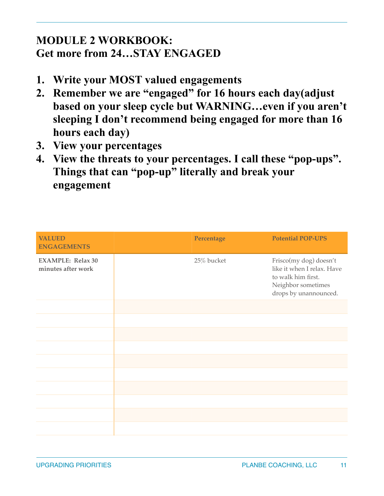# **MODULE 2 WORKBOOK: Get more from 24…STAY ENGAGED**

- **1. Write your MOST valued engagements**
- **2. Remember we are "engaged" for 16 hours each day(adjust based on your sleep cycle but WARNING…even if you aren't sleeping I don't recommend being engaged for more than 16 hours each day)**
- **3. View your percentages**
- **4. View the threats to your percentages. I call these "pop-ups". Things that can "pop-up" literally and break your engagement**

| <b>VALUED</b><br><b>ENGAGEMENTS</b>            | Percentage | <b>Potential POP-UPS</b>                                                                                                  |
|------------------------------------------------|------------|---------------------------------------------------------------------------------------------------------------------------|
| <b>EXAMPLE: Relax 30</b><br>minutes after work | 25% bucket | Frisco(my dog) doesn't<br>like it when I relax. Have<br>to walk him first.<br>Neighbor sometimes<br>drops by unannounced. |
|                                                |            |                                                                                                                           |
|                                                |            |                                                                                                                           |
|                                                |            |                                                                                                                           |
|                                                |            |                                                                                                                           |
|                                                |            |                                                                                                                           |
|                                                |            |                                                                                                                           |
|                                                |            |                                                                                                                           |
|                                                |            |                                                                                                                           |
|                                                |            |                                                                                                                           |
|                                                |            |                                                                                                                           |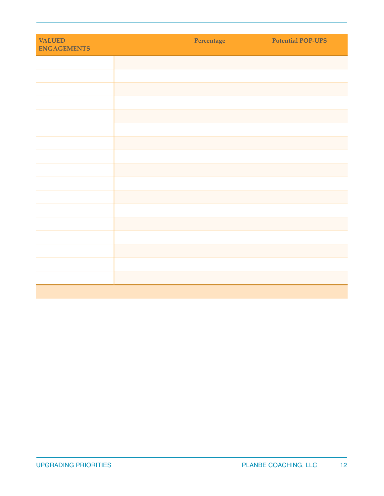| <b>VALUED</b><br><b>ENGAGEMENTS</b> | Percentage | <b>Potential POP-UPS</b> |
|-------------------------------------|------------|--------------------------|
|                                     |            |                          |
|                                     |            |                          |
|                                     |            |                          |
|                                     |            |                          |
|                                     |            |                          |
|                                     |            |                          |
|                                     |            |                          |
|                                     |            |                          |
|                                     |            |                          |
|                                     |            |                          |
|                                     |            |                          |
|                                     |            |                          |
|                                     |            |                          |
|                                     |            |                          |
|                                     |            |                          |
|                                     |            |                          |
|                                     |            |                          |
|                                     |            |                          |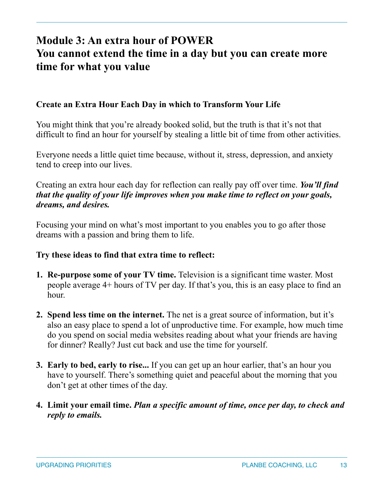# **Module 3: An extra hour of POWER You cannot extend the time in a day but you can create more time for what you value**

#### **Create an Extra Hour Each Day in which to Transform Your Life**

You might think that you're already booked solid, but the truth is that it's not that difficult to find an hour for yourself by stealing a little bit of time from other activities.

Everyone needs a little quiet time because, without it, stress, depression, and anxiety tend to creep into our lives.

Creating an extra hour each day for reflection can really pay off over time. *You'll find that the quality of your life improves when you make time to reflect on your goals, dreams, and desires.*

Focusing your mind on what's most important to you enables you to go after those dreams with a passion and bring them to life.

#### **Try these ideas to find that extra time to reflect:**

- **1. Re-purpose some of your TV time.** Television is a significant time waster. Most people average 4+ hours of TV per day. If that's you, this is an easy place to find an hour.
- **2. Spend less time on the internet.** The net is a great source of information, but it's also an easy place to spend a lot of unproductive time. For example, how much time do you spend on social media websites reading about what your friends are having for dinner? Really? Just cut back and use the time for yourself.
- **3. Early to bed, early to rise...** If you can get up an hour earlier, that's an hour you have to yourself. There's something quiet and peaceful about the morning that you don't get at other times of the day.
- **4. Limit your email time.** *Plan a specific amount of time, once per day, to check and reply to emails.*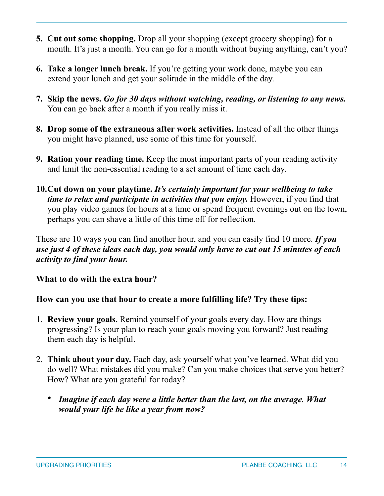- **5. Cut out some shopping.** Drop all your shopping (except grocery shopping) for a month. It's just a month. You can go for a month without buying anything, can't you?
- **6. Take a longer lunch break.** If you're getting your work done, maybe you can extend your lunch and get your solitude in the middle of the day.
- **7. Skip the news.** *Go for 30 days without watching, reading, or listening to any news.* You can go back after a month if you really miss it.
- **8. Drop some of the extraneous after work activities.** Instead of all the other things you might have planned, use some of this time for yourself.
- **9. Ration your reading time.** Keep the most important parts of your reading activity and limit the non-essential reading to a set amount of time each day.
- **10.Cut down on your playtime.** *It's certainly important for your wellbeing to take time to relax and participate in activities that you enjoy.* However, if you find that you play video games for hours at a time or spend frequent evenings out on the town, perhaps you can shave a little of this time off for reflection.

These are 10 ways you can find another hour, and you can easily find 10 more. *If you use just 4 of these ideas each day, you would only have to cut out 15 minutes of each activity to find your hour.*

## **What to do with the extra hour?**

## **How can you use that hour to create a more fulfilling life? Try these tips:**

- 1. **Review your goals.** Remind yourself of your goals every day. How are things progressing? Is your plan to reach your goals moving you forward? Just reading them each day is helpful.
- 2. **Think about your day.** Each day, ask yourself what you've learned. What did you do well? What mistakes did you make? Can you make choices that serve you better? How? What are you grateful for today?
	- *Imagine if each day were a little better than the last, on the average. What would your life be like a year from now?*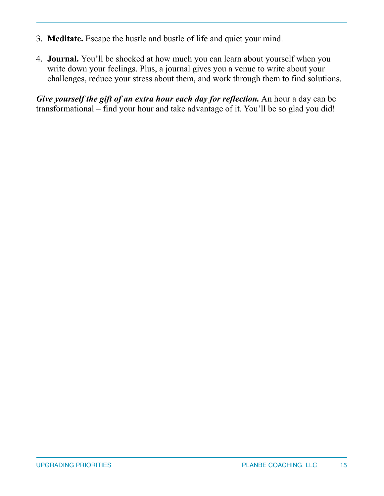- 3. **Meditate.** Escape the hustle and bustle of life and quiet your mind.
- 4. **Journal.** You'll be shocked at how much you can learn about yourself when you write down your feelings. Plus, a journal gives you a venue to write about your challenges, reduce your stress about them, and work through them to find solutions.

*Give yourself the gift of an extra hour each day for reflection.* An hour a day can be transformational – find your hour and take advantage of it. You'll be so glad you did!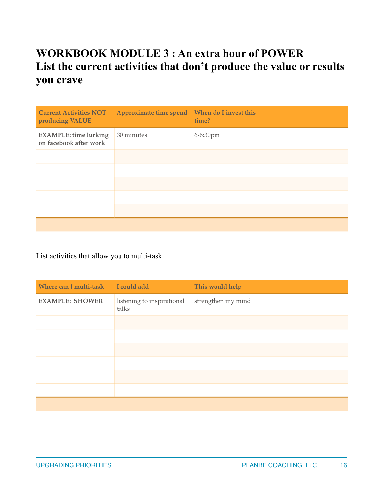# **WORKBOOK MODULE 3 : An extra hour of POWER List the current activities that don't produce the value or results you crave**

| <b>Current Activities NOT</b><br>producing VALUE       | Approximate time spend | When do I invest this<br>time? |
|--------------------------------------------------------|------------------------|--------------------------------|
| <b>EXAMPLE:</b> time lurking<br>on facebook after work | 30 minutes             | 6-6:30pm                       |
|                                                        |                        |                                |
|                                                        |                        |                                |
|                                                        |                        |                                |
|                                                        |                        |                                |
|                                                        |                        |                                |
|                                                        |                        |                                |

List activities that allow you to multi-task

| Where can I multi-task | I could add                         | This would help    |
|------------------------|-------------------------------------|--------------------|
| <b>EXAMPLE: SHOWER</b> | listening to inspirational<br>talks | strengthen my mind |
|                        |                                     |                    |
|                        |                                     |                    |
|                        |                                     |                    |
|                        |                                     |                    |
|                        |                                     |                    |
|                        |                                     |                    |
|                        |                                     |                    |